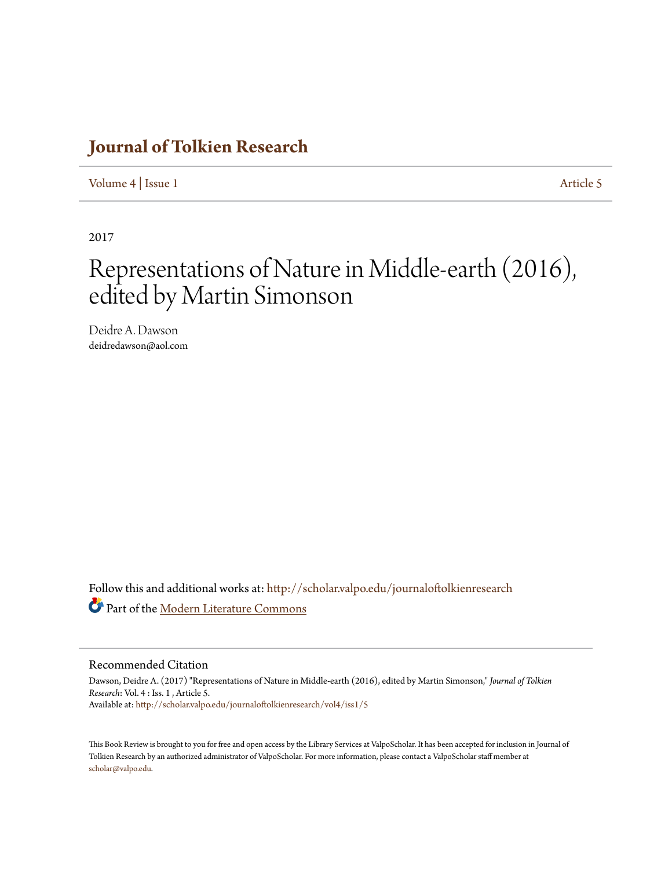## **[Journal of Tolkien Research](http://scholar.valpo.edu/journaloftolkienresearch?utm_source=scholar.valpo.edu%2Fjournaloftolkienresearch%2Fvol4%2Fiss1%2F5&utm_medium=PDF&utm_campaign=PDFCoverPages)**

[Volume 4](http://scholar.valpo.edu/journaloftolkienresearch/vol4?utm_source=scholar.valpo.edu%2Fjournaloftolkienresearch%2Fvol4%2Fiss1%2F5&utm_medium=PDF&utm_campaign=PDFCoverPages) | [Issue 1](http://scholar.valpo.edu/journaloftolkienresearch/vol4/iss1?utm_source=scholar.valpo.edu%2Fjournaloftolkienresearch%2Fvol4%2Fiss1%2F5&utm_medium=PDF&utm_campaign=PDFCoverPages) [Article 5](http://scholar.valpo.edu/journaloftolkienresearch/vol4/iss1/5?utm_source=scholar.valpo.edu%2Fjournaloftolkienresearch%2Fvol4%2Fiss1%2F5&utm_medium=PDF&utm_campaign=PDFCoverPages)

2017

## Representations of Nature in Middle-earth (2016), edited by Martin Simonson

Deidre A. Dawson deidredawson@aol.com

Follow this and additional works at: [http://scholar.valpo.edu/journaloftolkienresearch](http://scholar.valpo.edu/journaloftolkienresearch?utm_source=scholar.valpo.edu%2Fjournaloftolkienresearch%2Fvol4%2Fiss1%2F5&utm_medium=PDF&utm_campaign=PDFCoverPages) Part of the [Modern Literature Commons](http://network.bepress.com/hgg/discipline/1050?utm_source=scholar.valpo.edu%2Fjournaloftolkienresearch%2Fvol4%2Fiss1%2F5&utm_medium=PDF&utm_campaign=PDFCoverPages)

## Recommended Citation

Dawson, Deidre A. (2017) "Representations of Nature in Middle-earth (2016), edited by Martin Simonson," *Journal of Tolkien Research*: Vol. 4 : Iss. 1 , Article 5. Available at: [http://scholar.valpo.edu/journaloftolkienresearch/vol4/iss1/5](http://scholar.valpo.edu/journaloftolkienresearch/vol4/iss1/5?utm_source=scholar.valpo.edu%2Fjournaloftolkienresearch%2Fvol4%2Fiss1%2F5&utm_medium=PDF&utm_campaign=PDFCoverPages)

This Book Review is brought to you for free and open access by the Library Services at ValpoScholar. It has been accepted for inclusion in Journal of Tolkien Research by an authorized administrator of ValpoScholar. For more information, please contact a ValpoScholar staff member at [scholar@valpo.edu.](mailto:scholar@valpo.edu)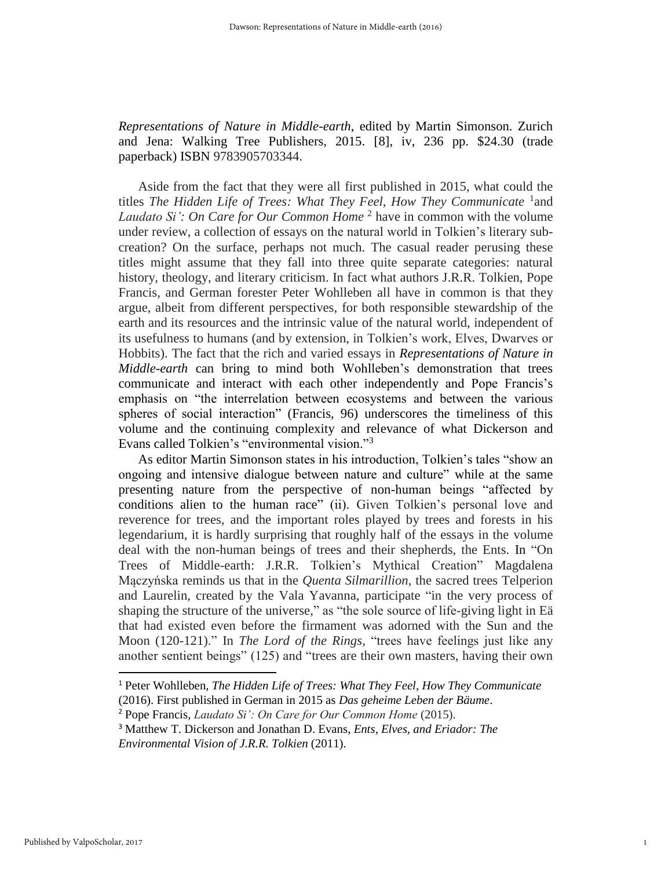*Representations of Nature in Middle-earth*, edited by Martin Simonson. Zurich and Jena: Walking Tree Publishers, 2015. [8], iv, 236 pp. \$24.30 (trade paperback) ISBN 9783905703344.

Aside from the fact that they were all first published in 2015, what could the titles The Hidden Life of Trees: What They Feel, How They Communicate <sup>1</sup> and Laudato Si': On Care for Our Common Home<sup>2</sup> have in common with the volume under review, a collection of essays on the natural world in Tolkien's literary subcreation? On the surface, perhaps not much. The casual reader perusing these titles might assume that they fall into three quite separate categories: natural history, theology, and literary criticism. In fact what authors J.R.R. Tolkien, Pope Francis, and German forester Peter Wohlleben all have in common is that they argue, albeit from different perspectives, for both responsible stewardship of the earth and its resources and the intrinsic value of the natural world, independent of its usefulness to humans (and by extension, in Tolkien's work, Elves, Dwarves or Hobbits). The fact that the rich and varied essays in *Representations of Nature in Middle-earth* can bring to mind both Wohlleben's demonstration that trees communicate and interact with each other independently and Pope Francis's emphasis on "the interrelation between ecosystems and between the various spheres of social interaction" (Francis, 96) underscores the timeliness of this volume and the continuing complexity and relevance of what Dickerson and Evans called Tolkien's "environmental vision."<sup>3</sup>

As editor Martin Simonson states in his introduction, Tolkien's tales "show an ongoing and intensive dialogue between nature and culture" while at the same presenting nature from the perspective of non-human beings "affected by conditions alien to the human race" (ii). Given Tolkien's personal love and reverence for trees, and the important roles played by trees and forests in his legendarium, it is hardly surprising that roughly half of the essays in the volume deal with the non-human beings of trees and their shepherds, the Ents. In "On Trees of Middle-earth: J.R.R. Tolkien's Mythical Creation" Magdalena Mączyńska reminds us that in the *Quenta Silmarillion*, the sacred trees Telperion and Laurelin, created by the Vala Yavanna, participate "in the very process of shaping the structure of the universe," as "the sole source of life-giving light in Eä that had existed even before the firmament was adorned with the Sun and the Moon (120-121)." In *The Lord of the Rings*, "trees have feelings just like any another sentient beings" (125) and "trees are their own masters, having their own

<sup>1</sup> Peter Wohlleben, *The Hidden Life of Trees: What They Feel, How They Communicate* (2016). First published in German in 2015 as *Das geheime Leben der Bäume*.

<sup>2</sup> Pope Francis, *Laudato Si': On Care for Our Common Home* (2015).

<sup>3</sup> Matthew T. Dickerson and Jonathan D. Evans, *Ents, Elves, and Eriador: The Environmental Vision of J.R.R. Tolkien* (2011).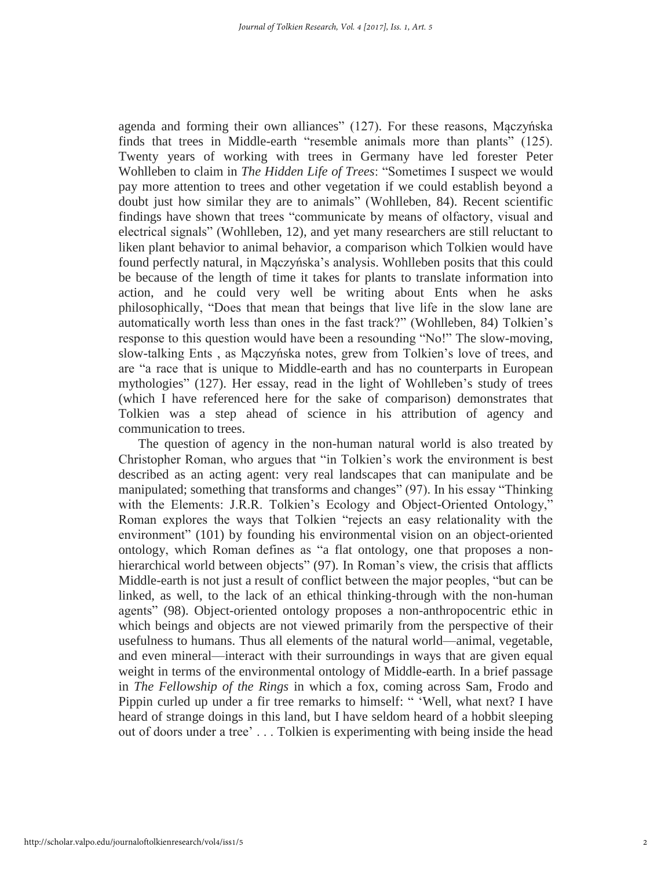agenda and forming their own alliances" (127). For these reasons, Mączyńska finds that trees in Middle-earth "resemble animals more than plants" (125). Twenty years of working with trees in Germany have led forester Peter Wohlleben to claim in *The Hidden Life of Trees*: "Sometimes I suspect we would pay more attention to trees and other vegetation if we could establish beyond a doubt just how similar they are to animals" (Wohlleben, 84). Recent scientific findings have shown that trees "communicate by means of olfactory, visual and electrical signals" (Wohlleben, 12), and yet many researchers are still reluctant to liken plant behavior to animal behavior, a comparison which Tolkien would have found perfectly natural, in Mączyńska's analysis. Wohlleben posits that this could be because of the length of time it takes for plants to translate information into action, and he could very well be writing about Ents when he asks philosophically, "Does that mean that beings that live life in the slow lane are automatically worth less than ones in the fast track?" (Wohlleben, 84) Tolkien's response to this question would have been a resounding "No!" The slow-moving, slow-talking Ents , as Mączyńska notes, grew from Tolkien's love of trees, and are "a race that is unique to Middle-earth and has no counterparts in European mythologies" (127). Her essay, read in the light of Wohlleben's study of trees (which I have referenced here for the sake of comparison) demonstrates that Tolkien was a step ahead of science in his attribution of agency and communication to trees.

The question of agency in the non-human natural world is also treated by Christopher Roman, who argues that "in Tolkien's work the environment is best described as an acting agent: very real landscapes that can manipulate and be manipulated; something that transforms and changes" (97). In his essay "Thinking with the Elements: J.R.R. Tolkien's Ecology and Object-Oriented Ontology," Roman explores the ways that Tolkien "rejects an easy relationality with the environment" (101) by founding his environmental vision on an object-oriented ontology, which Roman defines as "a flat ontology, one that proposes a nonhierarchical world between objects" (97). In Roman's view, the crisis that afflicts Middle-earth is not just a result of conflict between the major peoples, "but can be linked, as well, to the lack of an ethical thinking-through with the non-human agents" (98). Object-oriented ontology proposes a non-anthropocentric ethic in which beings and objects are not viewed primarily from the perspective of their usefulness to humans. Thus all elements of the natural world—animal, vegetable, and even mineral—interact with their surroundings in ways that are given equal weight in terms of the environmental ontology of Middle-earth. In a brief passage in *The Fellowship of the Rings* in which a fox, coming across Sam, Frodo and Pippin curled up under a fir tree remarks to himself: " 'Well, what next? I have heard of strange doings in this land, but I have seldom heard of a hobbit sleeping out of doors under a tree' . . . Tolkien is experimenting with being inside the head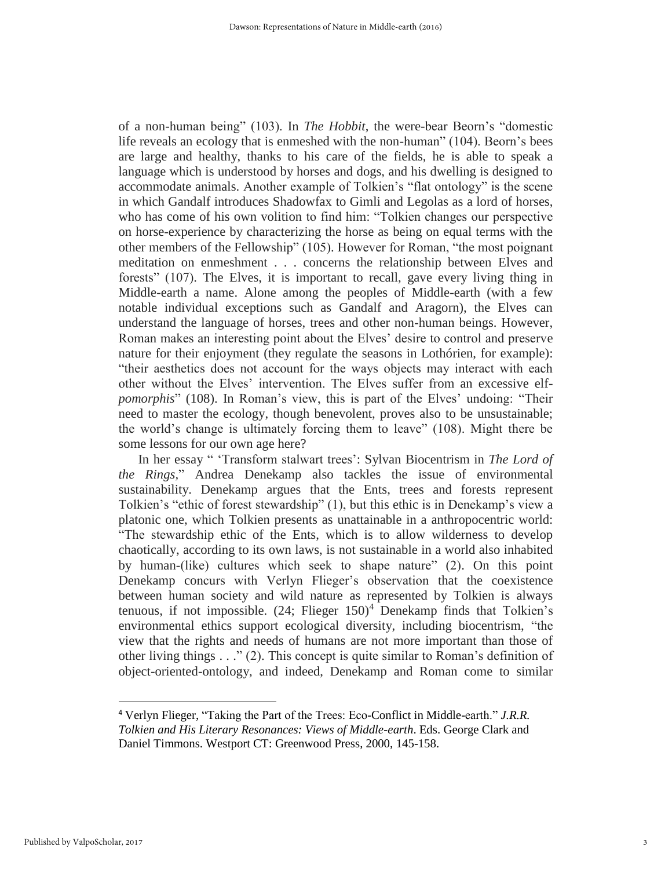of a non-human being" (103). In *The Hobbit*, the were-bear Beorn's "domestic life reveals an ecology that is enmeshed with the non-human" (104). Beorn's bees are large and healthy, thanks to his care of the fields, he is able to speak a language which is understood by horses and dogs, and his dwelling is designed to accommodate animals. Another example of Tolkien's "flat ontology" is the scene in which Gandalf introduces Shadowfax to Gimli and Legolas as a lord of horses, who has come of his own volition to find him: "Tolkien changes our perspective on horse-experience by characterizing the horse as being on equal terms with the other members of the Fellowship" (105). However for Roman, "the most poignant meditation on enmeshment . . . concerns the relationship between Elves and forests" (107). The Elves, it is important to recall, gave every living thing in Middle-earth a name. Alone among the peoples of Middle-earth (with a few notable individual exceptions such as Gandalf and Aragorn), the Elves can understand the language of horses, trees and other non-human beings. However, Roman makes an interesting point about the Elves' desire to control and preserve nature for their enjoyment (they regulate the seasons in Lothórien, for example): "their aesthetics does not account for the ways objects may interact with each other without the Elves' intervention. The Elves suffer from an excessive elf*pomorphis*" (108). In Roman's view, this is part of the Elves' undoing: "Their need to master the ecology, though benevolent, proves also to be unsustainable; the world's change is ultimately forcing them to leave" (108). Might there be some lessons for our own age here?

In her essay " 'Transform stalwart trees': Sylvan Biocentrism in *The Lord of the Rings,*" Andrea Denekamp also tackles the issue of environmental sustainability. Denekamp argues that the Ents, trees and forests represent Tolkien's "ethic of forest stewardship" (1), but this ethic is in Denekamp's view a platonic one, which Tolkien presents as unattainable in a anthropocentric world: "The stewardship ethic of the Ents, which is to allow wilderness to develop chaotically, according to its own laws, is not sustainable in a world also inhabited by human-(like) cultures which seek to shape nature" (2). On this point Denekamp concurs with Verlyn Flieger's observation that the coexistence between human society and wild nature as represented by Tolkien is always tenuous, if not impossible.  $(24;$  Flieger  $150)^4$  Denekamp finds that Tolkien's environmental ethics support ecological diversity, including biocentrism, "the view that the rights and needs of humans are not more important than those of other living things  $\dots$  (2). This concept is quite similar to Roman's definition of object-oriented-ontology, and indeed, Denekamp and Roman come to similar

<sup>4</sup> Verlyn Flieger, "Taking the Part of the Trees: Eco-Conflict in Middle-earth." *J.R.R. Tolkien and His Literary Resonances: Views of Middle-earth*. Eds. George Clark and Daniel Timmons. Westport CT: Greenwood Press, 2000, 145-158.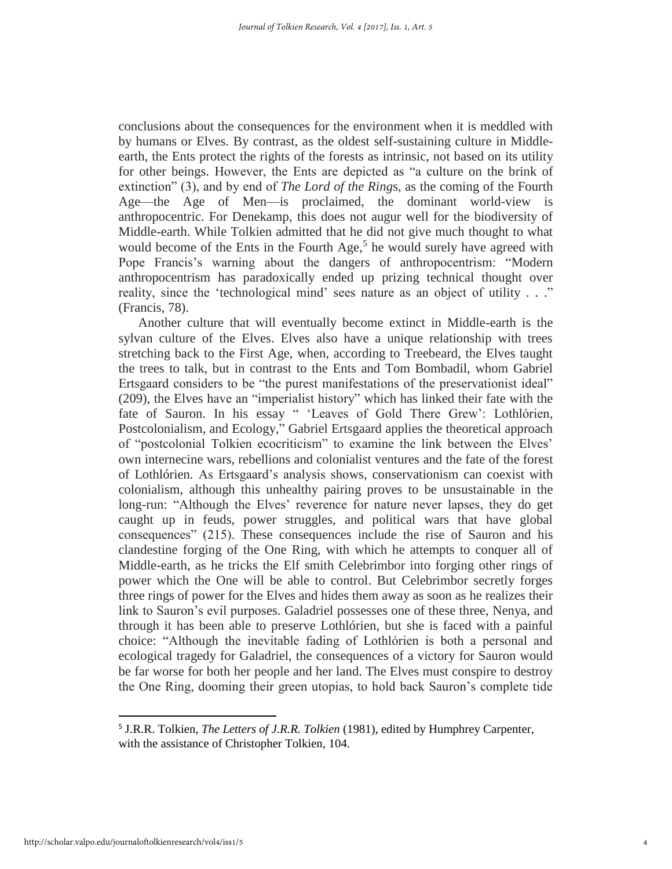conclusions about the consequences for the environment when it is meddled with by humans or Elves. By contrast, as the oldest self-sustaining culture in Middleearth, the Ents protect the rights of the forests as intrinsic, not based on its utility for other beings. However, the Ents are depicted as "a culture on the brink of extinction" (3), and by end of *The Lord of the Ring*s, as the coming of the Fourth Age—the Age of Men—is proclaimed, the dominant world-view is anthropocentric. For Denekamp, this does not augur well for the biodiversity of Middle-earth. While Tolkien admitted that he did not give much thought to what would become of the Ents in the Fourth Age,<sup>5</sup> he would surely have agreed with Pope Francis's warning about the dangers of anthropocentrism: "Modern anthropocentrism has paradoxically ended up prizing technical thought over reality, since the 'technological mind' sees nature as an object of utility . . ." (Francis, 78).

Another culture that will eventually become extinct in Middle-earth is the sylvan culture of the Elves. Elves also have a unique relationship with trees stretching back to the First Age, when, according to Treebeard, the Elves taught the trees to talk, but in contrast to the Ents and Tom Bombadil, whom Gabriel Ertsgaard considers to be "the purest manifestations of the preservationist ideal" (209), the Elves have an "imperialist history" which has linked their fate with the fate of Sauron. In his essay " 'Leaves of Gold There Grew': Lothlórien, Postcolonialism, and Ecology," Gabriel Ertsgaard applies the theoretical approach of "postcolonial Tolkien ecocriticism" to examine the link between the Elves' own internecine wars, rebellions and colonialist ventures and the fate of the forest of Lothlórien. As Ertsgaard's analysis shows, conservationism can coexist with colonialism, although this unhealthy pairing proves to be unsustainable in the long-run: "Although the Elves' reverence for nature never lapses, they do get caught up in feuds, power struggles, and political wars that have global consequences" (215). These consequences include the rise of Sauron and his clandestine forging of the One Ring, with which he attempts to conquer all of Middle-earth, as he tricks the Elf smith Celebrimbor into forging other rings of power which the One will be able to control. But Celebrimbor secretly forges three rings of power for the Elves and hides them away as soon as he realizes their link to Sauron's evil purposes. Galadriel possesses one of these three, Nenya, and through it has been able to preserve Lothlórien, but she is faced with a painful choice: "Although the inevitable fading of Lothlórien is both a personal and ecological tragedy for Galadriel, the consequences of a victory for Sauron would be far worse for both her people and her land. The Elves must conspire to destroy the One Ring, dooming their green utopias, to hold back Sauron's complete tide

<sup>5</sup> J.R.R. Tolkien, *The Letters of J.R.R. Tolkien* (1981), edited by Humphrey Carpenter, with the assistance of Christopher Tolkien, 104.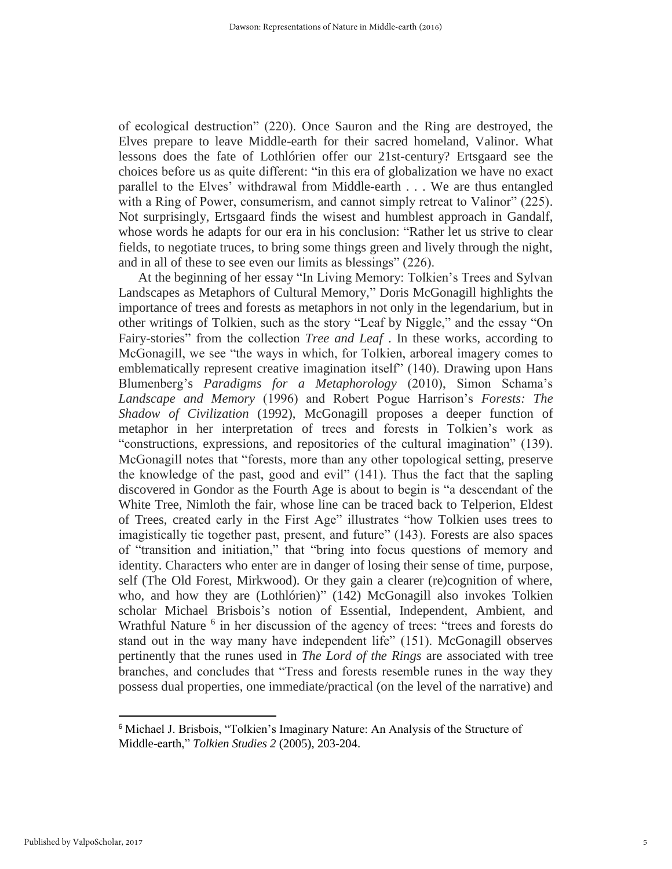of ecological destruction" (220). Once Sauron and the Ring are destroyed, the Elves prepare to leave Middle-earth for their sacred homeland, Valinor. What lessons does the fate of Lothlórien offer our 21st-century? Ertsgaard see the choices before us as quite different: "in this era of globalization we have no exact parallel to the Elves' withdrawal from Middle-earth . . . We are thus entangled with a Ring of Power, consumerism, and cannot simply retreat to Valinor" (225). Not surprisingly, Ertsgaard finds the wisest and humblest approach in Gandalf, whose words he adapts for our era in his conclusion: "Rather let us strive to clear fields, to negotiate truces, to bring some things green and lively through the night, and in all of these to see even our limits as blessings" (226).

At the beginning of her essay "In Living Memory: Tolkien's Trees and Sylvan Landscapes as Metaphors of Cultural Memory," Doris McGonagill highlights the importance of trees and forests as metaphors in not only in the legendarium, but in other writings of Tolkien, such as the story "Leaf by Niggle," and the essay "On Fairy-stories" from the collection *Tree and Leaf* . In these works, according to McGonagill, we see "the ways in which, for Tolkien, arboreal imagery comes to emblematically represent creative imagination itself" (140). Drawing upon Hans Blumenberg's *Paradigms for a Metaphorology* (2010), Simon Schama's *Landscape and Memory* (1996) and Robert Pogue Harrison's *Forests: The Shadow of Civilization* (1992), McGonagill proposes a deeper function of metaphor in her interpretation of trees and forests in Tolkien's work as "constructions, expressions, and repositories of the cultural imagination" (139). McGonagill notes that "forests, more than any other topological setting, preserve the knowledge of the past, good and evil" (141). Thus the fact that the sapling discovered in Gondor as the Fourth Age is about to begin is "a descendant of the White Tree, Nimloth the fair, whose line can be traced back to Telperion, Eldest of Trees, created early in the First Age" illustrates "how Tolkien uses trees to imagistically tie together past, present, and future" (143). Forests are also spaces of "transition and initiation," that "bring into focus questions of memory and identity. Characters who enter are in danger of losing their sense of time, purpose, self (The Old Forest, Mirkwood). Or they gain a clearer (re)cognition of where, who, and how they are (Lothlórien)" (142) McGonagill also invokes Tolkien scholar Michael Brisbois's notion of Essential, Independent, Ambient, and Wrathful Nature<sup>6</sup> in her discussion of the agency of trees: "trees and forests do stand out in the way many have independent life" (151). McGonagill observes pertinently that the runes used in *The Lord of the Rings* are associated with tree branches, and concludes that "Tress and forests resemble runes in the way they possess dual properties, one immediate/practical (on the level of the narrative) and

<sup>6</sup> Michael J. Brisbois, "Tolkien's Imaginary Nature: An Analysis of the Structure of Middle-earth," *Tolkien Studies 2* (2005), 203-204.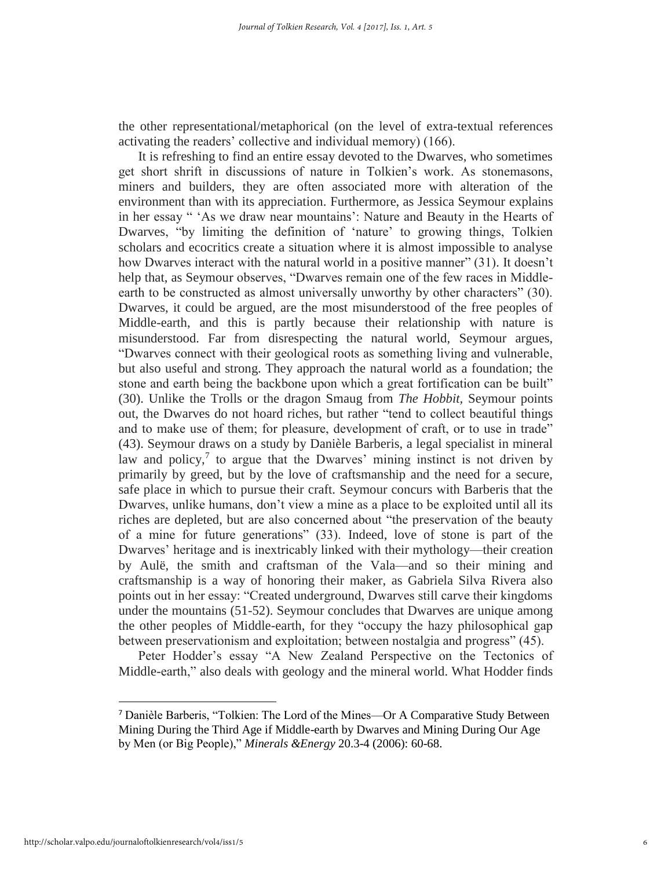the other representational/metaphorical (on the level of extra-textual references activating the readers' collective and individual memory) (166).

It is refreshing to find an entire essay devoted to the Dwarves, who sometimes get short shrift in discussions of nature in Tolkien's work. As stonemasons, miners and builders, they are often associated more with alteration of the environment than with its appreciation. Furthermore, as Jessica Seymour explains in her essay " 'As we draw near mountains': Nature and Beauty in the Hearts of Dwarves, "by limiting the definition of 'nature' to growing things, Tolkien scholars and ecocritics create a situation where it is almost impossible to analyse how Dwarves interact with the natural world in a positive manner" (31). It doesn't help that, as Seymour observes, "Dwarves remain one of the few races in Middleearth to be constructed as almost universally unworthy by other characters" (30). Dwarves, it could be argued, are the most misunderstood of the free peoples of Middle-earth, and this is partly because their relationship with nature is misunderstood. Far from disrespecting the natural world, Seymour argues, "Dwarves connect with their geological roots as something living and vulnerable, but also useful and strong. They approach the natural world as a foundation; the stone and earth being the backbone upon which a great fortification can be built" (30). Unlike the Trolls or the dragon Smaug from *The Hobbit,* Seymour points out, the Dwarves do not hoard riches, but rather "tend to collect beautiful things and to make use of them; for pleasure, development of craft, or to use in trade" (43). Seymour draws on a study by Danièle Barberis, a legal specialist in mineral law and policy, $\frac{7}{7}$  to argue that the Dwarves' mining instinct is not driven by primarily by greed, but by the love of craftsmanship and the need for a secure, safe place in which to pursue their craft. Seymour concurs with Barberis that the Dwarves, unlike humans, don't view a mine as a place to be exploited until all its riches are depleted, but are also concerned about "the preservation of the beauty of a mine for future generations" (33). Indeed, love of stone is part of the Dwarves' heritage and is inextricably linked with their mythology—their creation by Aulë, the smith and craftsman of the Vala—and so their mining and craftsmanship is a way of honoring their maker, as Gabriela Silva Rivera also points out in her essay: "Created underground, Dwarves still carve their kingdoms under the mountains (51-52). Seymour concludes that Dwarves are unique among the other peoples of Middle-earth, for they "occupy the hazy philosophical gap between preservationism and exploitation; between nostalgia and progress" (45).

Peter Hodder's essay "A New Zealand Perspective on the Tectonics of Middle-earth," also deals with geology and the mineral world. What Hodder finds

<sup>7</sup> Danièle Barberis, "Tolkien: The Lord of the Mines—Or A Comparative Study Between Mining During the Third Age if Middle-earth by Dwarves and Mining During Our Age by Men (or Big People)," *Minerals &Energy* 20.3-4 (2006): 60-68.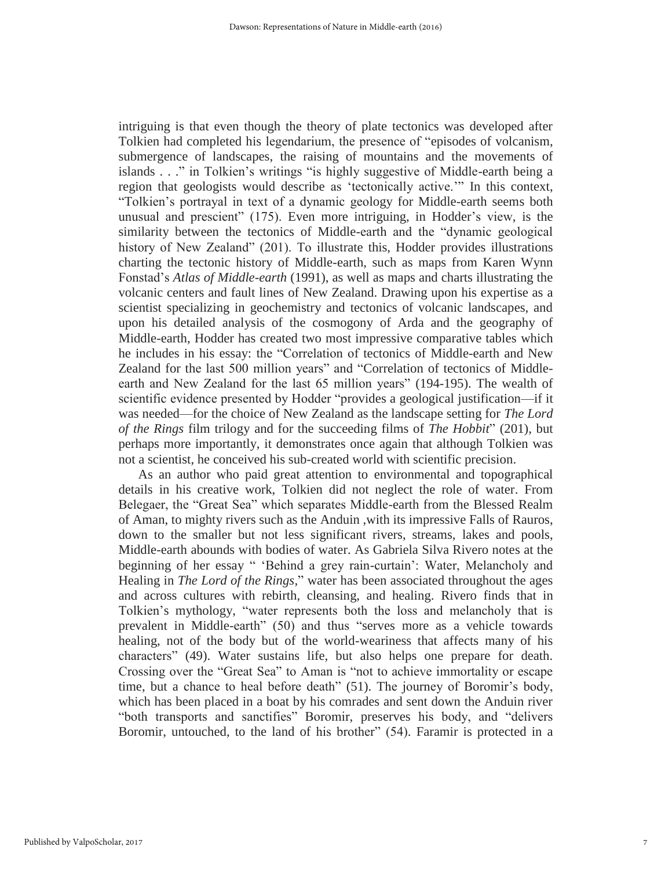intriguing is that even though the theory of plate tectonics was developed after Tolkien had completed his legendarium, the presence of "episodes of volcanism, submergence of landscapes, the raising of mountains and the movements of islands . . ." in Tolkien's writings "is highly suggestive of Middle-earth being a region that geologists would describe as 'tectonically active.'" In this context, "Tolkien's portrayal in text of a dynamic geology for Middle-earth seems both unusual and prescient" (175). Even more intriguing, in Hodder's view, is the similarity between the tectonics of Middle-earth and the "dynamic geological history of New Zealand" (201). To illustrate this, Hodder provides illustrations charting the tectonic history of Middle-earth, such as maps from Karen Wynn Fonstad's *Atlas of Middle-earth* (1991), as well as maps and charts illustrating the volcanic centers and fault lines of New Zealand. Drawing upon his expertise as a scientist specializing in geochemistry and tectonics of volcanic landscapes, and upon his detailed analysis of the cosmogony of Arda and the geography of Middle-earth, Hodder has created two most impressive comparative tables which he includes in his essay: the "Correlation of tectonics of Middle-earth and New Zealand for the last 500 million years" and "Correlation of tectonics of Middleearth and New Zealand for the last 65 million years" (194-195). The wealth of scientific evidence presented by Hodder "provides a geological justification—if it was needed—for the choice of New Zealand as the landscape setting for *The Lord of the Rings* film trilogy and for the succeeding films of *The Hobbit*" (201), but perhaps more importantly, it demonstrates once again that although Tolkien was not a scientist, he conceived his sub-created world with scientific precision.

As an author who paid great attention to environmental and topographical details in his creative work, Tolkien did not neglect the role of water. From Belegaer, the "Great Sea" which separates Middle-earth from the Blessed Realm of Aman, to mighty rivers such as the Anduin ,with its impressive Falls of Rauros, down to the smaller but not less significant rivers, streams, lakes and pools, Middle-earth abounds with bodies of water. As Gabriela Silva Rivero notes at the beginning of her essay " 'Behind a grey rain-curtain': Water, Melancholy and Healing in *The Lord of the Rings*," water has been associated throughout the ages and across cultures with rebirth, cleansing, and healing. Rivero finds that in Tolkien's mythology, "water represents both the loss and melancholy that is prevalent in Middle-earth" (50) and thus "serves more as a vehicle towards healing, not of the body but of the world-weariness that affects many of his characters" (49). Water sustains life, but also helps one prepare for death. Crossing over the "Great Sea" to Aman is "not to achieve immortality or escape time, but a chance to heal before death" (51). The journey of Boromir's body, which has been placed in a boat by his comrades and sent down the Anduin river "both transports and sanctifies" Boromir, preserves his body, and "delivers Boromir, untouched, to the land of his brother" (54). Faramir is protected in a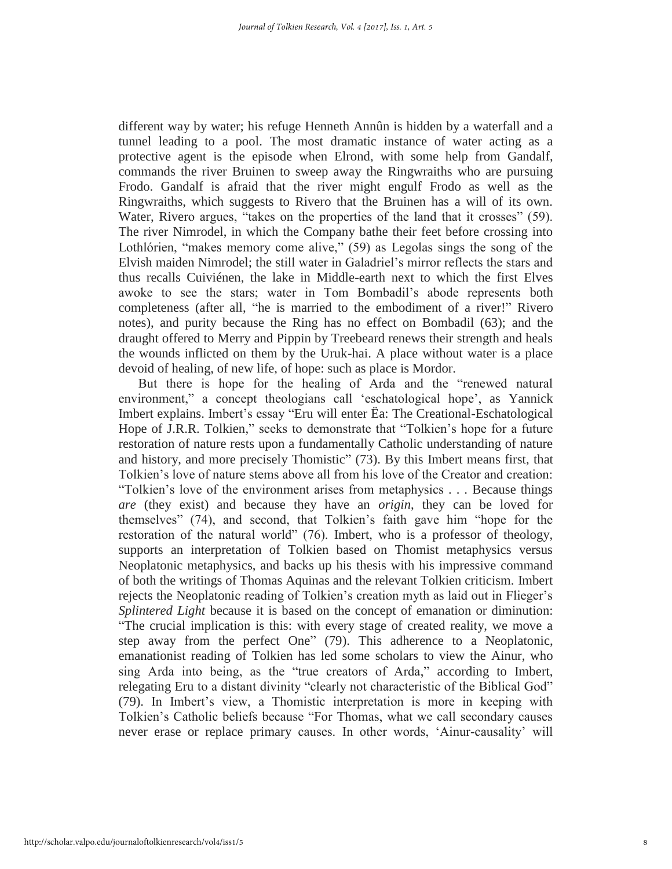different way by water; his refuge Henneth Annûn is hidden by a waterfall and a tunnel leading to a pool. The most dramatic instance of water acting as a protective agent is the episode when Elrond, with some help from Gandalf, commands the river Bruinen to sweep away the Ringwraiths who are pursuing Frodo. Gandalf is afraid that the river might engulf Frodo as well as the Ringwraiths, which suggests to Rivero that the Bruinen has a will of its own. Water, Rivero argues, "takes on the properties of the land that it crosses" (59). The river Nimrodel, in which the Company bathe their feet before crossing into Lothlórien, "makes memory come alive," (59) as Legolas sings the song of the Elvish maiden Nimrodel; the still water in Galadriel's mirror reflects the stars and thus recalls Cuiviénen, the lake in Middle-earth next to which the first Elves awoke to see the stars; water in Tom Bombadil's abode represents both completeness (after all, "he is married to the embodiment of a river!" Rivero notes), and purity because the Ring has no effect on Bombadil (63); and the draught offered to Merry and Pippin by Treebeard renews their strength and heals the wounds inflicted on them by the Uruk-hai. A place without water is a place devoid of healing, of new life, of hope: such as place is Mordor.

But there is hope for the healing of Arda and the "renewed natural environment," a concept theologians call 'eschatological hope', as Yannick Imbert explains. Imbert's essay "Eru will enter Ëa: The Creational-Eschatological Hope of J.R.R. Tolkien," seeks to demonstrate that "Tolkien's hope for a future restoration of nature rests upon a fundamentally Catholic understanding of nature and history, and more precisely Thomistic" (73). By this Imbert means first, that Tolkien's love of nature stems above all from his love of the Creator and creation: "Tolkien's love of the environment arises from metaphysics . . . Because things *are* (they exist) and because they have an *origin*, they can be loved for themselves" (74), and second, that Tolkien's faith gave him "hope for the restoration of the natural world" (76). Imbert, who is a professor of theology, supports an interpretation of Tolkien based on Thomist metaphysics versus Neoplatonic metaphysics, and backs up his thesis with his impressive command of both the writings of Thomas Aquinas and the relevant Tolkien criticism. Imbert rejects the Neoplatonic reading of Tolkien's creation myth as laid out in Flieger's *Splintered Light* because it is based on the concept of emanation or diminution: "The crucial implication is this: with every stage of created reality, we move a step away from the perfect One" (79). This adherence to a Neoplatonic, emanationist reading of Tolkien has led some scholars to view the Ainur, who sing Arda into being, as the "true creators of Arda," according to Imbert, relegating Eru to a distant divinity "clearly not characteristic of the Biblical God" (79). In Imbert's view, a Thomistic interpretation is more in keeping with Tolkien's Catholic beliefs because "For Thomas, what we call secondary causes never erase or replace primary causes. In other words, 'Ainur-causality' will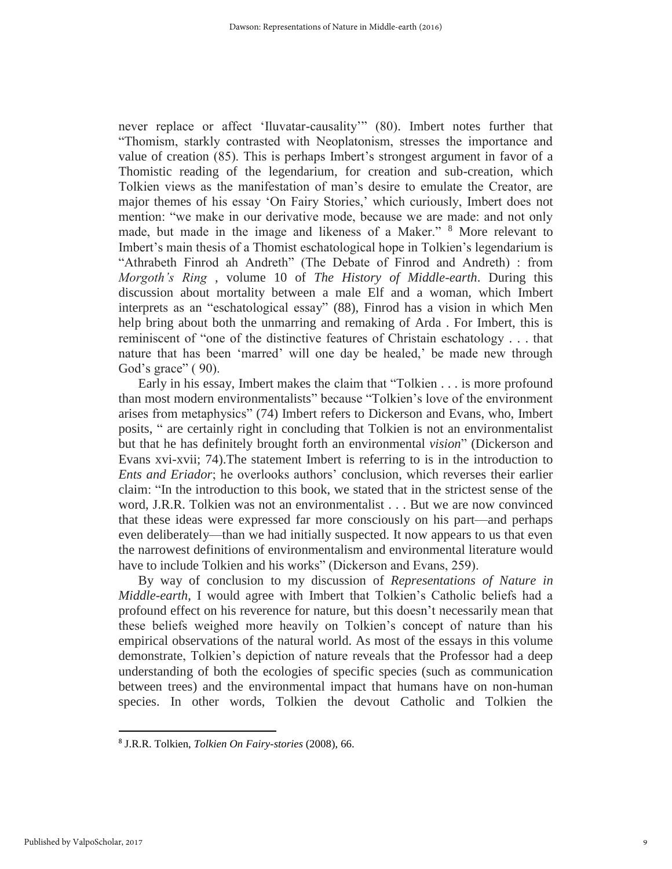never replace or affect 'Iluvatar-causality'" (80). Imbert notes further that "Thomism, starkly contrasted with Neoplatonism, stresses the importance and value of creation (85). This is perhaps Imbert's strongest argument in favor of a Thomistic reading of the legendarium, for creation and sub-creation, which Tolkien views as the manifestation of man's desire to emulate the Creator, are major themes of his essay 'On Fairy Stories,' which curiously, Imbert does not mention: "we make in our derivative mode, because we are made: and not only made, but made in the image and likeness of a Maker." <sup>8</sup> More relevant to Imbert's main thesis of a Thomist eschatological hope in Tolkien's legendarium is "Athrabeth Finrod ah Andreth" (The Debate of Finrod and Andreth) : from *Morgoth's Ring* , volume 10 of *The History of Middle-earth*. During this discussion about mortality between a male Elf and a woman, which Imbert interprets as an "eschatological essay" (88), Finrod has a vision in which Men help bring about both the unmarring and remaking of Arda . For Imbert, this is reminiscent of "one of the distinctive features of Christain eschatology . . . that nature that has been 'marred' will one day be healed,' be made new through God's grace" ( 90).

Early in his essay, Imbert makes the claim that "Tolkien . . . is more profound than most modern environmentalists" because "Tolkien's love of the environment arises from metaphysics" (74) Imbert refers to Dickerson and Evans, who, Imbert posits, " are certainly right in concluding that Tolkien is not an environmentalist but that he has definitely brought forth an environmental *vision*" (Dickerson and Evans xvi-xvii; 74).The statement Imbert is referring to is in the introduction to *Ents and Eriador*; he overlooks authors' conclusion, which reverses their earlier claim: "In the introduction to this book, we stated that in the strictest sense of the word, J.R.R. Tolkien was not an environmentalist . . . But we are now convinced that these ideas were expressed far more consciously on his part—and perhaps even deliberately—than we had initially suspected. It now appears to us that even the narrowest definitions of environmentalism and environmental literature would have to include Tolkien and his works" (Dickerson and Evans, 259).

By way of conclusion to my discussion of *Representations of Nature in Middle-earth*, I would agree with Imbert that Tolkien's Catholic beliefs had a profound effect on his reverence for nature, but this doesn't necessarily mean that these beliefs weighed more heavily on Tolkien's concept of nature than his empirical observations of the natural world. As most of the essays in this volume demonstrate, Tolkien's depiction of nature reveals that the Professor had a deep understanding of both the ecologies of specific species (such as communication between trees) and the environmental impact that humans have on non-human species. In other words, Tolkien the devout Catholic and Tolkien the

<sup>8</sup> J.R.R. Tolkien, *Tolkien On Fairy-stories* (2008), 66.